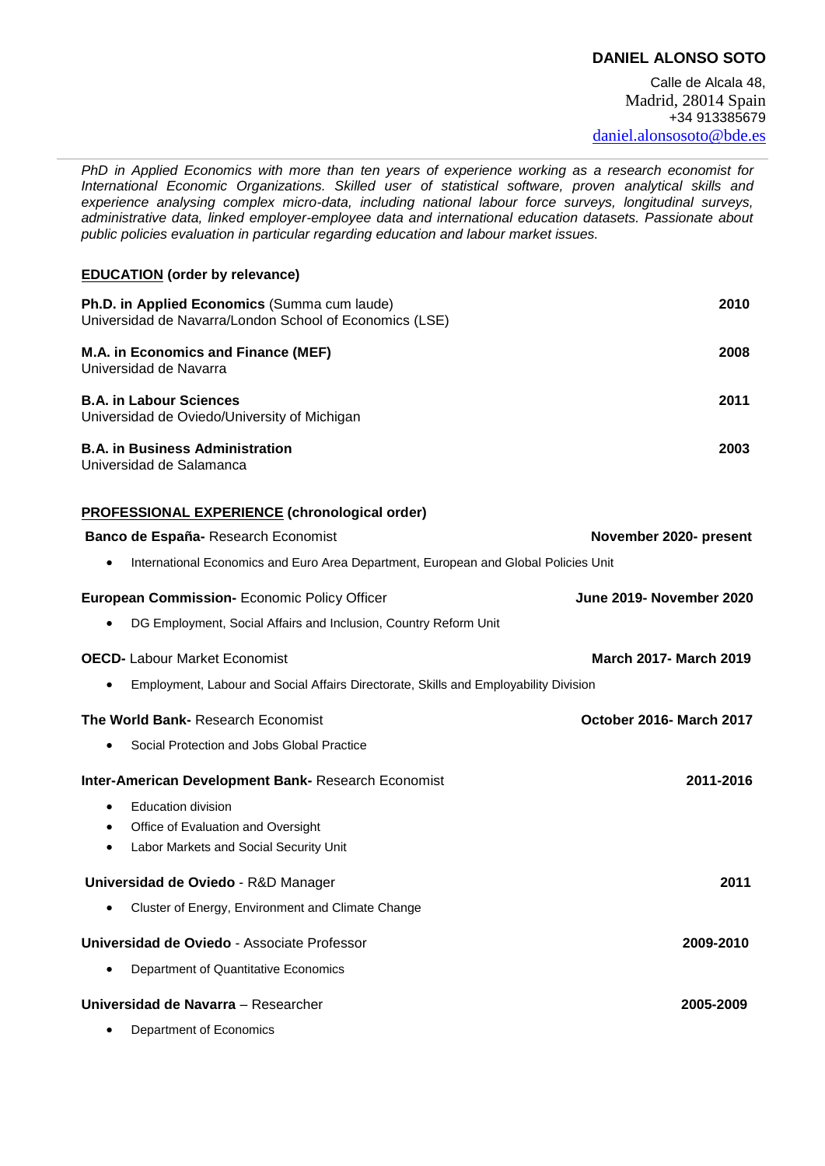# **DANIEL ALONSO SOTO**

*PhD in Applied Economics with more than ten years of experience working as a research economist for International Economic Organizations. Skilled user of statistical software, proven analytical skills and experience analysing complex micro-data, including national labour force surveys, longitudinal surveys, administrative data, linked employer-employee data and international education datasets. Passionate about public policies evaluation in particular regarding education and labour market issues.*

### **EDUCATION (order by relevance)**

| Ph.D. in Applied Economics (Summa cum laude)<br>Universidad de Navarra/London School of Economics (LSE) | 2010 |
|---------------------------------------------------------------------------------------------------------|------|
| M.A. in Economics and Finance (MEF)<br>Universidad de Navarra                                           | 2008 |
| <b>B.A. in Labour Sciences</b><br>Universidad de Oviedo/University of Michigan                          | 2011 |
| <b>B.A. in Business Administration</b><br>Universidad de Salamanca                                      | 2003 |

# **PROFESSIONAL EXPERIENCE (chronological order)**

| Banco de España- Research Economist                                                  | November 2020- present        |
|--------------------------------------------------------------------------------------|-------------------------------|
| International Economics and Euro Area Department, European and Global Policies Unit  |                               |
| <b>European Commission- Economic Policy Officer</b>                                  | June 2019- November 2020      |
| DG Employment, Social Affairs and Inclusion, Country Reform Unit                     |                               |
| <b>OECD-</b> Labour Market Economist                                                 | <b>March 2017- March 2019</b> |
| Employment, Labour and Social Affairs Directorate, Skills and Employability Division |                               |
| The World Bank- Research Economist                                                   | October 2016- March 2017      |
| Social Protection and Jobs Global Practice                                           |                               |
| <b>Inter-American Development Bank- Research Economist</b>                           | 2011-2016                     |
| <b>Education division</b>                                                            |                               |
| Office of Evaluation and Oversight<br>٠                                              |                               |
| Labor Markets and Social Security Unit                                               |                               |
| Universidad de Oviedo - R&D Manager                                                  | 2011                          |
| Cluster of Energy, Environment and Climate Change                                    |                               |
| Universidad de Oviedo - Associate Professor                                          | 2009-2010                     |
| Department of Quantitative Economics                                                 |                               |
| Universidad de Navarra - Researcher                                                  | 2005-2009                     |
| Department of Economics<br>٠                                                         |                               |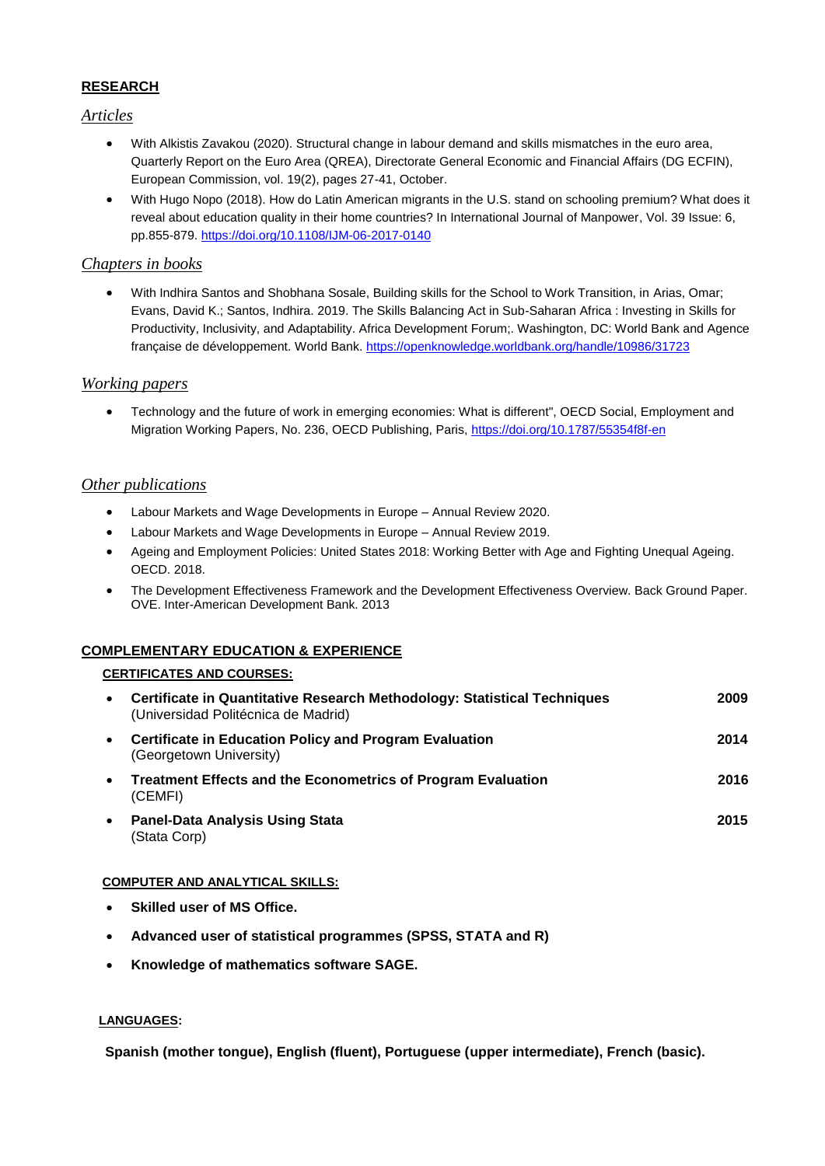## **RESEARCH**

### *Articles*

- With Alkistis Zavakou (2020). Structural change in labour demand and skills mismatches in the euro area, Quarterly Report on the Euro Area (QREA), Directorate General Economic and Financial Affairs (DG ECFIN), European Commission, vol. 19(2), pages 27-41, October.
- With Hugo Nopo (2018). How do Latin American migrants in the U.S. stand on schooling premium? What does it reveal about education quality in their home countries? In International Journal of Manpower, Vol. 39 Issue: 6, pp.855-879.<https://doi.org/10.1108/IJM-06-2017-0140>

# *Chapters in books*

 With Indhira Santos and Shobhana Sosale, Building skills for the School to Work Transition, in Arias, Omar; Evans, David K.; Santos, Indhira. 2019. The Skills Balancing Act in Sub-Saharan Africa : Investing in Skills for Productivity, Inclusivity, and Adaptability. Africa Development Forum;. Washington, DC: World Bank and Agence française de développement. World Bank.<https://openknowledge.worldbank.org/handle/10986/31723>

## *Working papers*

 Technology and the future of work in emerging economies: What is different", OECD Social, Employment and Migration Working Papers, No. 236, OECD Publishing, Paris,<https://doi.org/10.1787/55354f8f-en>

### *Other publications*

- Labour Markets and Wage Developments in Europe Annual Review 2020.
- Labour Markets and Wage Developments in Europe Annual Review 2019.
- Ageing and Employment Policies: United States 2018: Working Better with Age and Fighting Unequal Ageing. OECD. 2018.
- The Development Effectiveness Framework and the Development Effectiveness Overview. Back Ground Paper. OVE. Inter-American Development Bank. 2013

### **COMPLEMENTARY EDUCATION & EXPERIENCE**

#### **CERTIFICATES AND COURSES:**

| $\bullet$ | Certificate in Quantitative Research Methodology: Statistical Techniques<br>(Universidad Politécnica de Madrid) | 2009 |
|-----------|-----------------------------------------------------------------------------------------------------------------|------|
| $\bullet$ | <b>Certificate in Education Policy and Program Evaluation</b><br>(Georgetown University)                        | 2014 |
| $\bullet$ | <b>Treatment Effects and the Econometrics of Program Evaluation</b><br>(CEMFI)                                  | 2016 |
| $\bullet$ | <b>Panel-Data Analysis Using Stata</b><br>(Stata Corp)                                                          | 2015 |

### **COMPUTER AND ANALYTICAL SKILLS:**

- **Skilled user of MS Office.**
- **Advanced user of statistical programmes (SPSS, STATA and R)**
- **Knowledge of mathematics software SAGE.**

#### **LANGUAGES:**

**Spanish (mother tongue), English (fluent), Portuguese (upper intermediate), French (basic).**